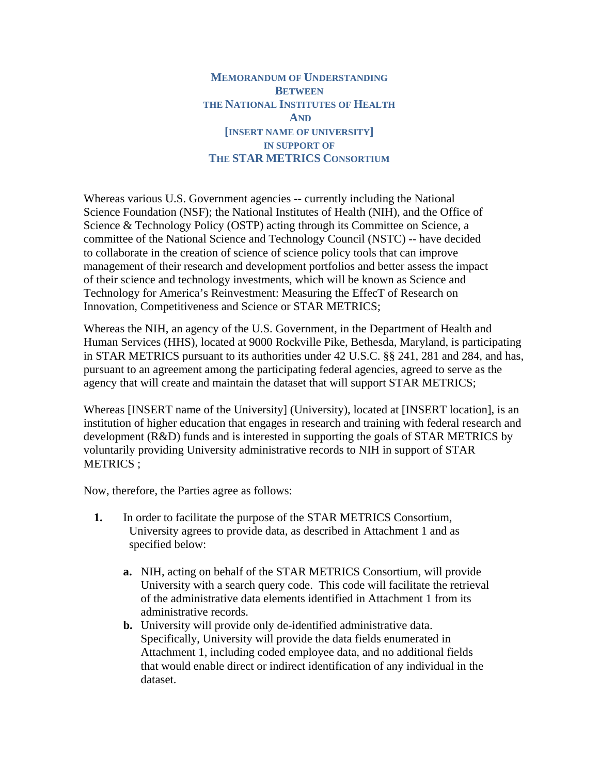**MEMORANDUM OF UNDERSTANDING BETWEEN THE NATIONAL INSTITUTES OF HEALTH AND [INSERT NAME OF UNIVERSITY] IN SUPPORT OF THE STAR METRICS CONSORTIUM**

Whereas various U.S. Government agencies -- currently including the National Science Foundation (NSF); the National Institutes of Health (NIH), and the Office of Science & Technology Policy (OSTP) acting through its Committee on Science, a committee of the National Science and Technology Council (NSTC) -- have decided to collaborate in the creation of science of science policy tools that can improve management of their research and development portfolios and better assess the impact of their science and technology investments, which will be known as Science and Technology for America's Reinvestment: Measuring the EffecT of Research on Innovation, Competitiveness and Science or STAR METRICS;

Whereas the NIH, an agency of the U.S. Government, in the Department of Health and Human Services (HHS), located at 9000 Rockville Pike, Bethesda, Maryland, is participating in STAR METRICS pursuant to its authorities under 42 U.S.C. §§ 241, 281 and 284, and has, pursuant to an agreement among the participating federal agencies, agreed to serve as the agency that will create and maintain the dataset that will support STAR METRICS;

Whereas [INSERT name of the University] (University), located at [INSERT location], is an institution of higher education that engages in research and training with federal research and development (R&D) funds and is interested in supporting the goals of STAR METRICS by voluntarily providing University administrative records to NIH in support of STAR METRICS ;

Now, therefore, the Parties agree as follows:

- **1.** In order to facilitate the purpose of the STAR METRICS Consortium, University agrees to provide data, as described in Attachment 1 and as specified below:
	- **a.** NIH, acting on behalf of the STAR METRICS Consortium, will provide University with a search query code. This code will facilitate the retrieval of the administrative data elements identified in Attachment 1 from its administrative records.
	- **b.** University will provide only de-identified administrative data. Specifically, University will provide the data fields enumerated in Attachment 1, including coded employee data, and no additional fields that would enable direct or indirect identification of any individual in the dataset.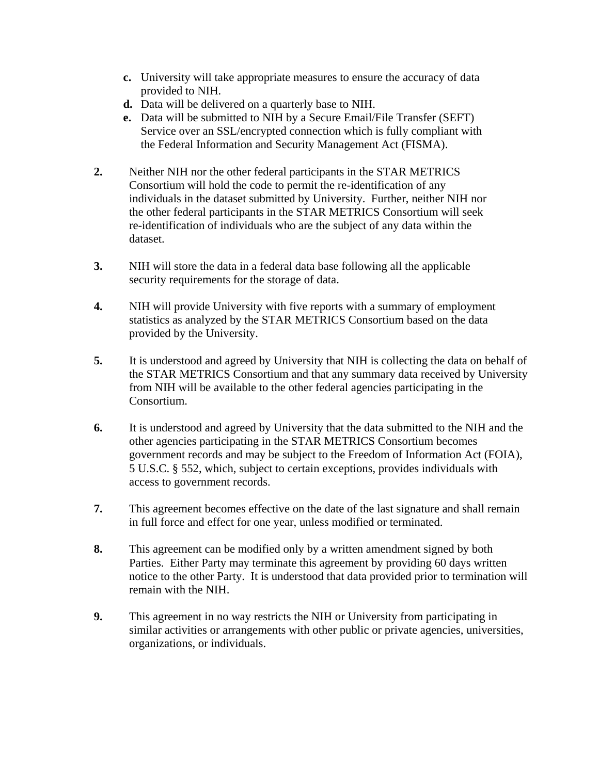- **c.** University will take appropriate measures to ensure the accuracy of data provided to NIH.
- **d.** Data will be delivered on a quarterly base to NIH.
- **e.** Data will be submitted to NIH by a Secure Email/File Transfer (SEFT) Service over an SSL/encrypted connection which is fully compliant with the Federal Information and Security Management Act (FISMA).
- **2.** Neither NIH nor the other federal participants in the STAR METRICS Consortium will hold the code to permit the re-identification of any individuals in the dataset submitted by University. Further, neither NIH nor the other federal participants in the STAR METRICS Consortium will seek re-identification of individuals who are the subject of any data within the dataset.
- **3.** NIH will store the data in a federal data base following all the applicable security requirements for the storage of data.
- **4.** NIH will provide University with five reports with a summary of employment statistics as analyzed by the STAR METRICS Consortium based on the data provided by the University.
- **5.** It is understood and agreed by University that NIH is collecting the data on behalf of the STAR METRICS Consortium and that any summary data received by University from NIH will be available to the other federal agencies participating in the Consortium.
- **6.** It is understood and agreed by University that the data submitted to the NIH and the other agencies participating in the STAR METRICS Consortium becomes government records and may be subject to the Freedom of Information Act (FOIA), 5 U.S.C. § 552, which, subject to certain exceptions, provides individuals with access to government records.
- **7.** This agreement becomes effective on the date of the last signature and shall remain in full force and effect for one year, unless modified or terminated.
- **8.** This agreement can be modified only by a written amendment signed by both Parties. Either Party may terminate this agreement by providing 60 days written notice to the other Party. It is understood that data provided prior to termination will remain with the NIH.
- **9.** This agreement in no way restricts the NIH or University from participating in similar activities or arrangements with other public or private agencies, universities, organizations, or individuals.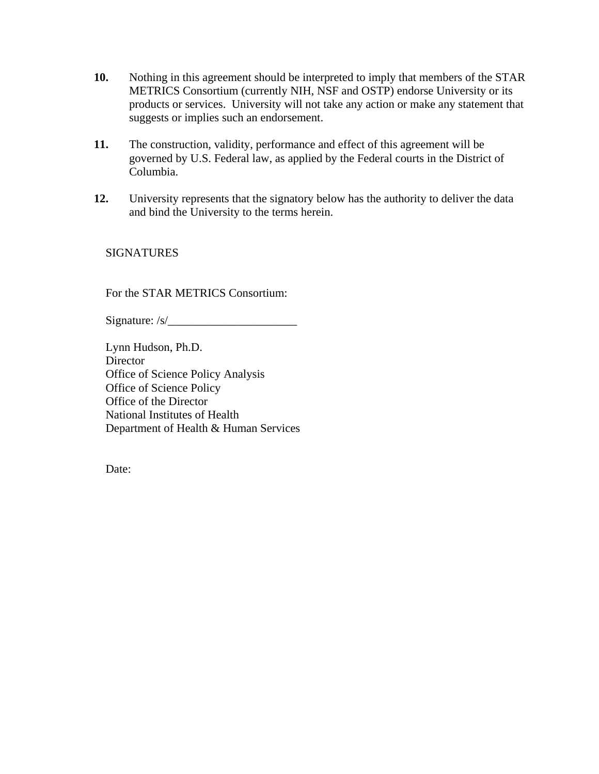- **10.** Nothing in this agreement should be interpreted to imply that members of the STAR METRICS Consortium (currently NIH, NSF and OSTP) endorse University or its products or services. University will not take any action or make any statement that suggests or implies such an endorsement.
- **11.** The construction, validity, performance and effect of this agreement will be governed by U.S. Federal law, as applied by the Federal courts in the District of Columbia.
- **12.** University represents that the signatory below has the authority to deliver the data and bind the University to the terms herein.

**SIGNATURES** 

For the STAR METRICS Consortium:

Signature:  $/s/$ 

Lynn Hudson, Ph.D. **Director** Office of Science Policy Analysis Office of Science Policy Office of the Director National Institutes of Health Department of Health & Human Services

Date: